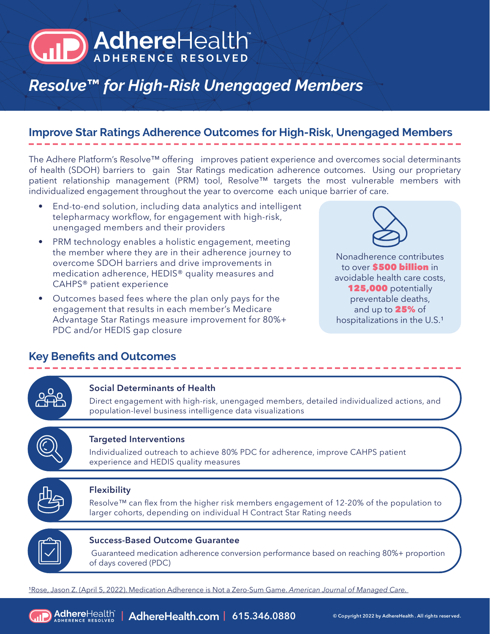# **AdhereHealth**

# *Resolve***™** *for High-Risk Unengaged Members*

# **Improve Star Ratings Adherence Outcomes for High-Risk, Unengaged Members**

The Adhere Platform's Resolve™ offering improves patient experience and overcomes social determinants of health (SDOH) barriers to gain Star Ratings medication adherence outcomes. Using our proprietary patient relationship management (PRM) tool, Resolve™ targets the most vulnerable members with individualized engagement throughout the year to overcome each unique barrier of care.

- End-to-end solution, including data analytics and intelligent telepharmacy workflow, for engagement with high-risk, unengaged members and their providers
- PRM technology enables a holistic engagement, meeting the member where they are in their adherence journey to overcome SDOH barriers and drive improvements in medication adherence, HEDIS® quality measures and CAHPS® patient experience
- Outcomes based fees where the plan only pays for the engagement that results in each member's Medicare Advantage Star Ratings measure improvement for 80%+ PDC and/or HEDIS gap closure



Nonadherence contributes to over **\$500 billion** in avoidable health care costs, 125,000 potentially preventable deaths, and up to 25% of hospitalizations in the U.S.<sup>1</sup>

# **Key Benefits and Outcomes**





## **Success-Based Outcome Guarantee**

 Guaranteed medication adherence conversion performance based on reaching 80%+ proportion of days covered (PDC)

<sup>1</sup>Rose, Jason Z. (April 5, 2022). Medication Adherence is Not a Zero-Sum Game. *American Journal of Managed Care*.